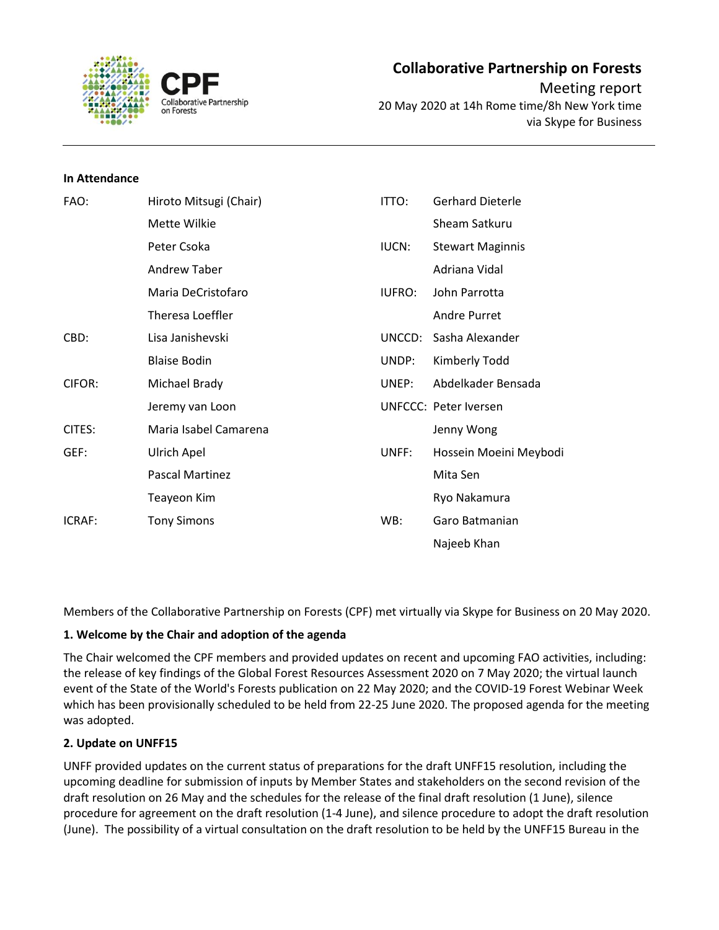

### **In Attendance**

| FAO:   | Hiroto Mitsugi (Chair) | ITTO:         | <b>Gerhard Dieterle</b> |
|--------|------------------------|---------------|-------------------------|
|        | Mette Wilkie           |               | Sheam Satkuru           |
|        | Peter Csoka            | IUCN:         | <b>Stewart Maginnis</b> |
|        | <b>Andrew Taber</b>    |               | Adriana Vidal           |
|        | Maria DeCristofaro     | <b>IUFRO:</b> | John Parrotta           |
|        | Theresa Loeffler       |               | <b>Andre Purret</b>     |
| CBD:   | Lisa Janishevski       | UNCCD:        | Sasha Alexander         |
|        | <b>Blaise Bodin</b>    | UNDP:         | Kimberly Todd           |
| CIFOR: | Michael Brady          | UNEP:         | Abdelkader Bensada      |
|        | Jeremy van Loon        |               | UNFCCC: Peter Iversen   |
| CITES: | Maria Isabel Camarena  |               | Jenny Wong              |
| GEF:   | Ulrich Apel            | UNFF:         | Hossein Moeini Meybodi  |
|        | Pascal Martinez        |               | Mita Sen                |
|        | Teayeon Kim            |               | Ryo Nakamura            |
| ICRAF: | <b>Tony Simons</b>     | WB:           | Garo Batmanian          |
|        |                        |               | Najeeb Khan             |

Members of the Collaborative Partnership on Forests (CPF) met virtually via Skype for Business on 20 May 2020.

## **1. Welcome by the Chair and adoption of the agenda**

The Chair welcomed the CPF members and provided updates on recent and upcoming FAO activities, including: the release of key findings of the Global Forest Resources Assessment 2020 on 7 May 2020; the virtual launch event of the State of the World's Forests publication on 22 May 2020; and the COVID-19 Forest Webinar Week which has been provisionally scheduled to be held from 22-25 June 2020. The proposed agenda for the meeting was adopted.

## **2. Update on UNFF15**

UNFF provided updates on the current status of preparations for the draft UNFF15 resolution, including the upcoming deadline for submission of inputs by Member States and stakeholders on the second revision of the draft resolution on 26 May and the schedules for the release of the final draft resolution (1 June), silence procedure for agreement on the draft resolution (1-4 June), and silence procedure to adopt the draft resolution (June). The possibility of a virtual consultation on the draft resolution to be held by the UNFF15 Bureau in the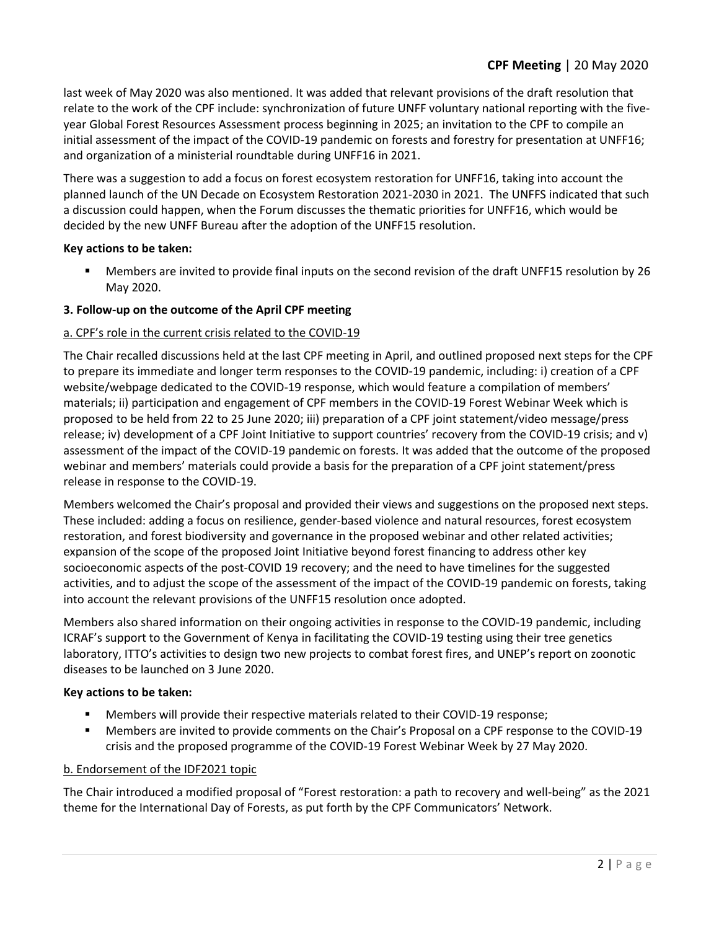last week of May 2020 was also mentioned. It was added that relevant provisions of the draft resolution that relate to the work of the CPF include: synchronization of future UNFF voluntary national reporting with the fiveyear Global Forest Resources Assessment process beginning in 2025; an invitation to the CPF to compile an initial assessment of the impact of the COVID-19 pandemic on forests and forestry for presentation at UNFF16; and organization of a ministerial roundtable during UNFF16 in 2021.

There was a suggestion to add a focus on forest ecosystem restoration for UNFF16, taking into account the planned launch of the UN Decade on Ecosystem Restoration 2021-2030 in 2021. The UNFFS indicated that such a discussion could happen, when the Forum discusses the thematic priorities for UNFF16, which would be decided by the new UNFF Bureau after the adoption of the UNFF15 resolution.

# **Key actions to be taken:**

■ Members are invited to provide final inputs on the second revision of the draft UNFF15 resolution by 26 May 2020.

# **3. Follow-up on the outcome of the April CPF meeting**

# a. CPF's role in the current crisis related to the COVID-19

The Chair recalled discussions held at the last CPF meeting in April, and outlined proposed next steps for the CPF to prepare its immediate and longer term responses to the COVID-19 pandemic, including: i) creation of a CPF website/webpage dedicated to the COVID-19 response, which would feature a compilation of members' materials; ii) participation and engagement of CPF members in the COVID-19 Forest Webinar Week which is proposed to be held from 22 to 25 June 2020; iii) preparation of a CPF joint statement/video message/press release; iv) development of a CPF Joint Initiative to support countries' recovery from the COVID-19 crisis; and v) assessment of the impact of the COVID-19 pandemic on forests. It was added that the outcome of the proposed webinar and members' materials could provide a basis for the preparation of a CPF joint statement/press release in response to the COVID-19.

Members welcomed the Chair's proposal and provided their views and suggestions on the proposed next steps. These included: adding a focus on resilience, gender-based violence and natural resources, forest ecosystem restoration, and forest biodiversity and governance in the proposed webinar and other related activities; expansion of the scope of the proposed Joint Initiative beyond forest financing to address other key socioeconomic aspects of the post-COVID 19 recovery; and the need to have timelines for the suggested activities, and to adjust the scope of the assessment of the impact of the COVID-19 pandemic on forests, taking into account the relevant provisions of the UNFF15 resolution once adopted.

Members also shared information on their ongoing activities in response to the COVID-19 pandemic, including ICRAF's support to the Government of Kenya in facilitating the COVID-19 testing using their tree genetics laboratory, ITTO's activities to design two new projects to combat forest fires, and UNEP's report on zoonotic diseases to be launched on 3 June 2020.

## **Key actions to be taken:**

- Members will provide their respective materials related to their COVID-19 response;
- Members are invited to provide comments on the Chair's Proposal on a CPF response to the COVID-19 crisis and the proposed programme of the COVID-19 Forest Webinar Week by 27 May 2020.

## b. Endorsement of the IDF2021 topic

The Chair introduced a modified proposal of "Forest restoration: a path to recovery and well-being" as the 2021 theme for the International Day of Forests, as put forth by the CPF Communicators' Network.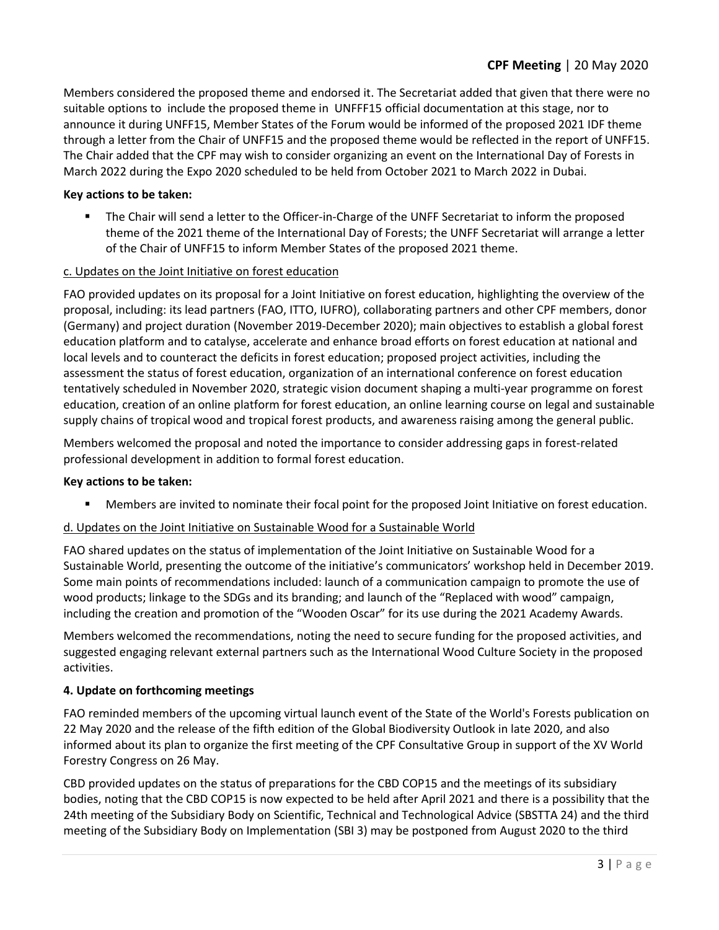Members considered the proposed theme and endorsed it. The Secretariat added that given that there were no suitable options to include the proposed theme in UNFFF15 official documentation at this stage, nor to announce it during UNFF15, Member States of the Forum would be informed of the proposed 2021 IDF theme through a letter from the Chair of UNFF15 and the proposed theme would be reflected in the report of UNFF15. The Chair added that the CPF may wish to consider organizing an event on the International Day of Forests in March 2022 during the Expo 2020 scheduled to be held from October 2021 to March 2022 in Dubai.

# **Key actions to be taken:**

The Chair will send a letter to the Officer-in-Charge of the UNFF Secretariat to inform the proposed theme of the 2021 theme of the International Day of Forests; the UNFF Secretariat will arrange a letter of the Chair of UNFF15 to inform Member States of the proposed 2021 theme.

## c. Updates on the Joint Initiative on forest education

FAO provided updates on its proposal for a Joint Initiative on forest education, highlighting the overview of the proposal, including: its lead partners (FAO, ITTO, IUFRO), collaborating partners and other CPF members, donor (Germany) and project duration (November 2019-December 2020); main objectives to establish a global forest education platform and to catalyse, accelerate and enhance broad efforts on forest education at national and local levels and to counteract the deficits in forest education; proposed project activities, including the assessment the status of forest education, organization of an international conference on forest education tentatively scheduled in November 2020, strategic vision document shaping a multi-year programme on forest education, creation of an online platform for forest education, an online learning course on legal and sustainable supply chains of tropical wood and tropical forest products, and awareness raising among the general public.

Members welcomed the proposal and noted the importance to consider addressing gaps in forest-related professional development in addition to formal forest education.

#### **Key actions to be taken:**

Members are invited to nominate their focal point for the proposed Joint Initiative on forest education.

## d. Updates on the Joint Initiative on Sustainable Wood for a Sustainable World

FAO shared updates on the status of implementation of the Joint Initiative on Sustainable Wood for a Sustainable World, presenting the outcome of the initiative's communicators' workshop held in December 2019. Some main points of recommendations included: launch of a communication campaign to promote the use of wood products; linkage to the SDGs and its branding; and launch of the "Replaced with wood" campaign, including the creation and promotion of the "Wooden Oscar" for its use during the 2021 Academy Awards.

Members welcomed the recommendations, noting the need to secure funding for the proposed activities, and suggested engaging relevant external partners such as the International Wood Culture Society in the proposed activities.

## **4. Update on forthcoming meetings**

FAO reminded members of the upcoming virtual launch event of the State of the World's Forests publication on 22 May 2020 and the release of the fifth edition of the Global Biodiversity Outlook in late 2020, and also informed about its plan to organize the first meeting of the CPF Consultative Group in support of the XV World Forestry Congress on 26 May.

CBD provided updates on the status of preparations for the CBD COP15 and the meetings of its subsidiary bodies, noting that the CBD COP15 is now expected to be held after April 2021 and there is a possibility that the 24th meeting of the Subsidiary Body on Scientific, Technical and Technological Advice (SBSTTA 24) and the third meeting of the Subsidiary Body on Implementation (SBI 3) may be postponed from August 2020 to the third